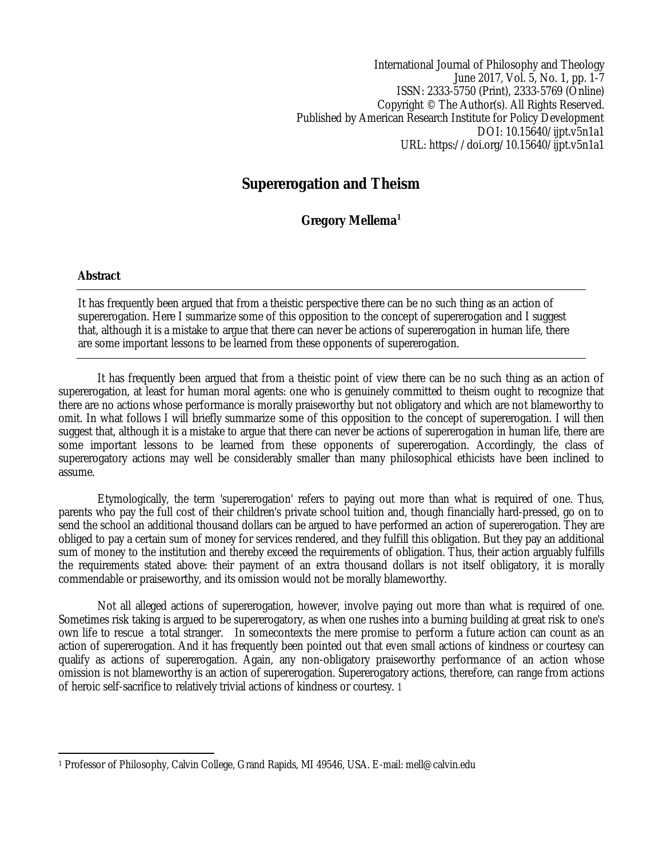International Journal of Philosophy and Theology June 2017, Vol. 5, No. 1, pp. 1-7 ISSN: 2333-5750 (Print), 2333-5769 (Online) Copyright © The Author(s). All Rights Reserved. Published by American Research Institute for Policy Development DOI: 10.15640/ijpt.v5n1a1 URL: https://doi.org/10.15640/ijpt.v5n1a1

# **Supererogation and Theism**

**Gregory Mellema<sup>1</sup>**

## **Abstract**

It has frequently been argued that from a theistic perspective there can be no such thing as an action of supererogation. Here I summarize some of this opposition to the concept of supererogation and I suggest that, although it is a mistake to argue that there can never be actions of supererogation in human life, there are some important lessons to be learned from these opponents of supererogation.

It has frequently been argued that from a theistic point of view there can be no such thing as an action of supererogation, at least for human moral agents: one who is genuinely committed to theism ought to recognize that there are no actions whose performance is morally praiseworthy but not obligatory and which are not blameworthy to omit. In what follows I will briefly summarize some of this opposition to the concept of supererogation. I will then suggest that, although it is a mistake to argue that there can never be actions of supererogation in human life, there are some important lessons to be learned from these opponents of supererogation. Accordingly, the class of supererogatory actions may well be considerably smaller than many philosophical ethicists have been inclined to assume.

Etymologically, the term 'supererogation' refers to paying out more than what is required of one. Thus, parents who pay the full cost of their children's private school tuition and, though financially hard-pressed, go on to send the school an additional thousand dollars can be argued to have performed an action of supererogation. They are obliged to pay a certain sum of money for services rendered, and they fulfill this obligation. But they pay an additional sum of money to the institution and thereby exceed the requirements of obligation. Thus, their action arguably fulfills the requirements stated above: their payment of an extra thousand dollars is not itself obligatory, it is morally commendable or praiseworthy, and its omission would not be morally blameworthy.

Not all alleged actions of supererogation, however, involve paying out more than what is required of one. Sometimes risk taking is argued to be supererogatory, as when one rushes into a burning building at great risk to one's own life to rescue a total stranger. In somecontexts the mere promise to perform a future action can count as an action of supererogation. And it has frequently been pointed out that even small actions of kindness or courtesy can qualify as actions of supererogation. Again, any non-obligatory praiseworthy performance of an action whose omission is not blameworthy is an action of supererogation. Supererogatory actions, therefore, can range from actions of heroic self-sacrifice to relatively trivial actions of kindness or courtesy. 1

 $\overline{a}$ <sup>1</sup> Professor of Philosophy, Calvin College, Grand Rapids, MI 49546, USA. E-mail: mell@calvin.edu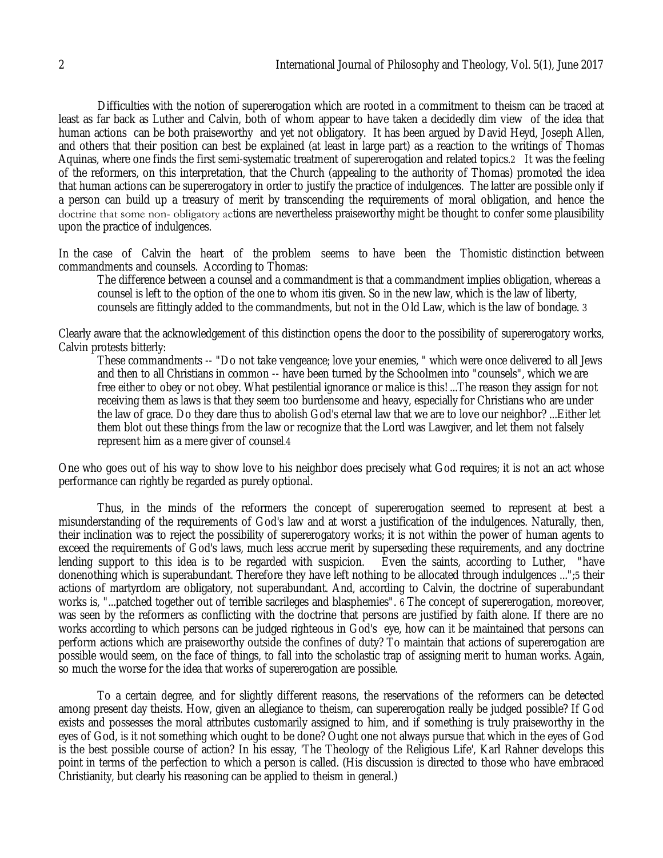Difficulties with the notion of supererogation which are rooted in a commitment to theism can be traced at least as far back as Luther and Calvin, both of whom appear to have taken a decidedly dim view of the idea that human actions can be both praiseworthy and yet not obligatory. It has been argued by David Heyd, Joseph Allen, and others that their position can best be explained (at least in large part) as a reaction to the writings of Thomas Aquinas, where one finds the first semi-systematic treatment of supererogation and related topics.2 It was the feeling of the reformers, on this interpretation, that the Church (appealing to the authority of Thomas) promoted the idea that human actions can be supererogatory in order to justify the practice of indulgences. The latter are possible only if a person can build up a treasury of merit by transcending the requirements of moral obligation, and hence the doctrine that some non-obligatory actions are nevertheless praiseworthy might be thought to confer some plausibility upon the practice of indulgences.

In the case of Calvin the heart of the problem seems to have been the Thomistic distinction between commandments and counsels. According to Thomas:

The difference between a counsel and a commandment is that a commandment implies obligation, whereas a counsel is left to the option of the one to whom itis given. So in the new law, which is the law of liberty, counsels are fittingly added to the commandments, but not in the Old Law, which is the law of bondage. 3

Clearly aware that the acknowledgement of this distinction opens the door to the possibility of supererogatory works, Calvin protests bitterly:

These commandments -- "Do not take vengeance; love your enemies, " which were once delivered to all Jews and then to all Christians in common -- have been turned by the Schoolmen into "counsels", which we are free either to obey or not obey. What pestilential ignorance or malice is this! ...The reason they assign for not receiving them as laws is that they seem too burdensome and heavy, especially for Christians who are under the law of grace. Do they dare thus to abolish God's eternal law that we are to love our neighbor? ...Either let them blot out these things from the law or recognize that the Lord was Lawgiver, and let them not falsely represent him as a mere giver of counsel.4

One who goes out of his way to show love to his neighbor does precisely what God requires; it is not an act whose performance can rightly be regarded as purely optional.

Thus, in the minds of the reformers the concept of supererogation seemed to represent at best a misunderstanding of the requirements of God's law and at worst a justification of the indulgences. Naturally, then, their inclination was to reject the possibility of supererogatory works; it is not within the power of human agents to exceed the requirements of God's laws, much less accrue merit by superseding these requirements, and any doctrine<br>lending support to this idea is to be regarded with suspicion. Even the saints, according to Luther, "have lending support to this idea is to be regarded with suspicion. donenothing which is superabundant. Therefore they have left nothing to be allocated through indulgences ...";5 their actions of martyrdom are obligatory, not superabundant. And, according to Calvin, the doctrine of superabundant works is, "...patched together out of terrible sacrileges and blasphemies".  $\delta$  The concept of supererogation, moreover, was seen by the reformers as conflicting with the doctrine that persons are justified by faith alone. If there are no works according to which persons can be judged righteous in God's eye, how can it be maintained that persons can perform actions which are praiseworthy outside the confines of duty? To maintain that actions of supererogation are possible would seem, on the face of things, to fall into the scholastic trap of assigning merit to human works. Again, so much the worse for the idea that works of supererogation are possible.

To a certain degree, and for slightly different reasons, the reservations of the reformers can be detected among present day theists. How, given an allegiance to theism, can supererogation really be judged possible? If God exists and possesses the moral attributes customarily assigned to him, and if something is truly praiseworthy in the eyes of God, is it not something which ought to be done? Ought one not always pursue that which in the eyes of God is the best possible course of action? In his essay, 'The Theology of the Religious Life', Karl Rahner develops this point in terms of the perfection to which a person is called. (His discussion is directed to those who have embraced Christianity, but clearly his reasoning can be applied to theism in general.)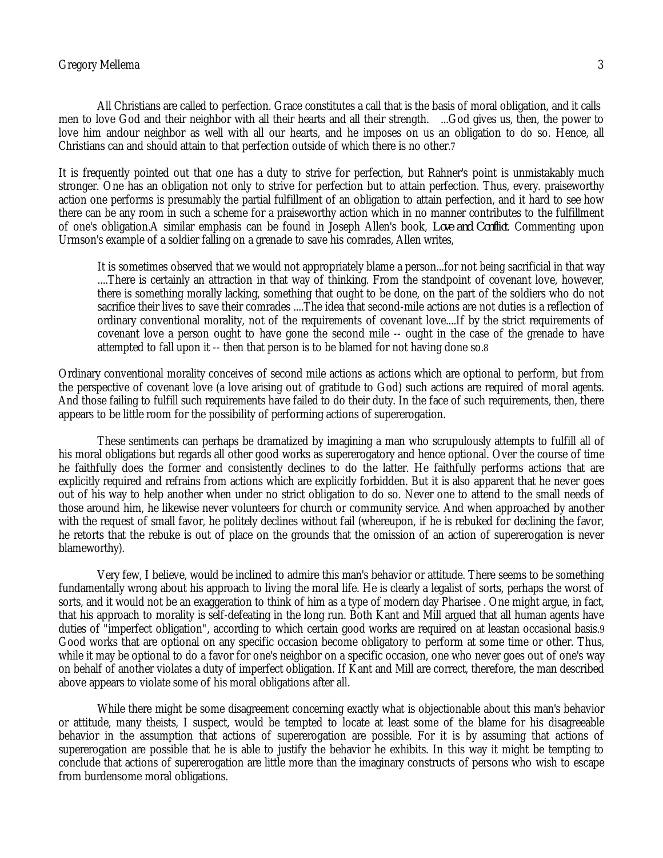#### Gregory Mellema 3

All Christians are called to perfection. Grace constitutes a call that is the basis of moral obligation, and it calls men to love God and their neighbor with all their hearts and all their strength. ...God gives us, then, the power to love him andour neighbor as well with all our hearts, and he imposes on us an obligation to do so. Hence, all Christians can and should attain to that perfection outside of which there is no other.7

It is frequently pointed out that one has a duty to strive for perfection, but Rahner's point is unmistakably much stronger. One has an obligation not only to strive for perfection but to attain perfection. Thus, every. praiseworthy action one performs is presumably the partial fulfillment of an obligation to attain perfection, and it hard to see how there can be any room in such a scheme for a praiseworthy action which in no manner contributes to the fulfillment of one's obligation.A similar emphasis can be found in Joseph Allen's book, *Love and Conflict*. Commenting upon Urmson's example of a soldier falling on a grenade to save his comrades, Allen writes,

It is sometimes observed that we would not appropriately blame a person...for not being sacrificial in that way ....There is certainly an attraction in that way of thinking. From the standpoint of covenant love, however, there is something morally lacking, something that ought to be done, on the part of the soldiers who do not sacrifice their lives to save their comrades ....The idea that second-mile actions are not duties is a reflection of ordinary conventional morality, not of the requirements of covenant love....If by the strict requirements of covenant love a person ought to have gone the second mile -- ought in the case of the grenade to have attempted to fall upon it -- then that person is to be blamed for not having done so.8

Ordinary conventional morality conceives of second mile actions as actions which are optional to perform, but from the perspective of covenant love (a love arising out of gratitude to God) such actions are required of moral agents. And those failing to fulfill such requirements have failed to do their duty. In the face of such requirements, then, there appears to be little room for the possibility of performing actions of supererogation.

These sentiments can perhaps be dramatized by imagining a man who scrupulously attempts to fulfill all of his moral obligations but regards all other good works as supererogatory and hence optional. Over the course of time he faithfully does the former and consistently declines to do the latter. He faithfully performs actions that are explicitly required and refrains from actions which are explicitly forbidden. But it is also apparent that he never goes out of his way to help another when under no strict obligation to do so. Never one to attend to the small needs of those around him, he likewise never volunteers for church or community service. And when approached by another with the request of small favor, he politely declines without fail (whereupon, if he is rebuked for declining the favor, he retorts that the rebuke is out of place on the grounds that the omission of an action of supererogation is never blameworthy).

Very few, I believe, would be inclined to admire this man's behavior or attitude. There seems to be something fundamentally wrong about his approach to living the moral life. He is clearly a legalist of sorts, perhaps the worst of sorts, and it would not be an exaggeration to think of him as a type of modern day Pharisee . One might argue, in fact, that his approach to morality is self-defeating in the long run. Both Kant and Mill argued that all human agents have duties of "imperfect obligation", according to which certain good works are required on at leastan occasional basis.9 Good works that are optional on any specific occasion become obligatory to perform at some time or other. Thus, while it may be optional to do a favor for one's neighbor on a specific occasion, one who never goes out of one's way on behalf of another violates a duty of imperfect obligation. If Kant and Mill are correct, therefore, the man described above appears to violate some of his moral obligations after all.

While there might be some disagreement concerning exactly what is objectionable about this man's behavior or attitude, many theists, I suspect, would be tempted to locate at least some of the blame for his disagreeable behavior in the assumption that actions of supererogation are possible. For it is by assuming that actions of supererogation are possible that he is able to justify the behavior he exhibits. In this way it might be tempting to conclude that actions of supererogation are little more than the imaginary constructs of persons who wish to escape from burdensome moral obligations.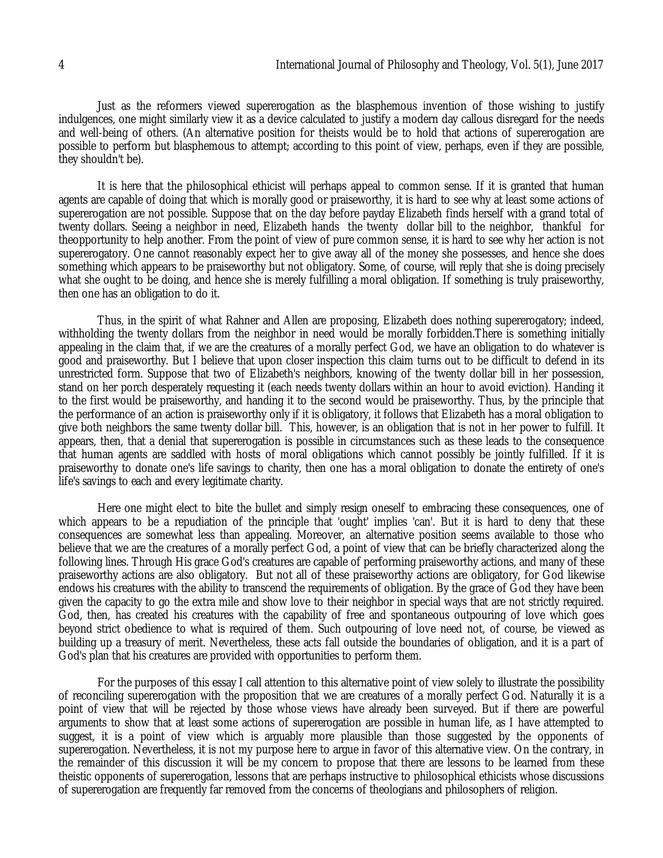Just as the reformers viewed supererogation as the blasphemous invention of those wishing to justify indulgences, one might similarly view it as a device calculated to justify a modern day callous disregard for the needs and well-being of others. (An alternative position for theists would be to hold that actions of supererogation are possible to perform but blasphemous to attempt; according to this point of view, perhaps, even if they are possible, they shouldn't be).

It is here that the philosophical ethicist will perhaps appeal to common sense. If it is granted that human agents are capable of doing that which is morally good or praiseworthy, it is hard to see why at least some actions of supererogation are not possible. Suppose that on the day before payday Elizabeth finds herself with a grand total of twenty dollars. Seeing a neighbor in need, Elizabeth hands the twenty dollar bill to the neighbor, thankful for theopportunity to help another. From the point of view of pure common sense, it is hard to see why her action is not supererogatory. One cannot reasonably expect her to give away all of the money she possesses, and hence she does something which appears to be praiseworthy but not obligatory. Some, of course, will reply that she is doing precisely what she ought to be doing, and hence she is merely fulfilling a moral obligation. If something is truly praiseworthy, then one has an obligation to do it.

Thus, in the spirit of what Rahner and Allen are proposing, Elizabeth does nothing supererogatory; indeed, withholding the twenty dollars from the neighbor in need would be morally forbidden.There is something initially appealing in the claim that, if we are the creatures of a morally perfect God, we have an obligation to do whatever is good and praiseworthy. But I believe that upon closer inspection this claim turns out to be difficult to defend in its unrestricted form. Suppose that two of Elizabeth's neighbors, knowing of the twenty dollar bill in her possession, stand on her porch desperately requesting it (each needs twenty dollars within an hour to avoid eviction). Handing it to the first would be praiseworthy, and handing it to the second would be praiseworthy. Thus, by the principle that the performance of an action is praiseworthy only if it is obligatory, it follows that Elizabeth has a moral obligation to give both neighbors the same twenty dollar bill. This, however, is an obligation that is not in her power to fulfill. It appears, then, that a denial that supererogation is possible in circumstances such as these leads to the consequence that human agents are saddled with hosts of moral obligations which cannot possibly be jointly fulfilled. If it is praiseworthy to donate one's life savings to charity, then one has a moral obligation to donate the entirety of one's life's savings to each and every legitimate charity.

Here one might elect to bite the bullet and simply resign oneself to embracing these consequences, one of which appears to be a repudiation of the principle that 'ought' implies 'can'. But it is hard to deny that these consequences are somewhat less than appealing. Moreover, an alternative position seems available to those who believe that we are the creatures of a morally perfect God, a point of view that can be briefly characterized along the following lines. Through His grace God's creatures are capable of performing praiseworthy actions, and many of these praiseworthy actions are also obligatory. But not all of these praiseworthy actions are obligatory, for God likewise endows his creatures with the ability to transcend the requirements of obligation. By the grace of God they have been given the capacity to go the extra mile and show love to their neighbor in special ways that are not strictly required. God, then, has created his creatures with the capability of free and spontaneous outpouring of love which goes beyond strict obedience to what is required of them. Such outpouring of love need not, of course, be viewed as building up a treasury of merit. Nevertheless, these acts fall outside the boundaries of obligation, and it is a part of God's plan that his creatures are provided with opportunities to perform them.

For the purposes of this essay I call attention to this alternative point of view solely to illustrate the possibility of reconciling supererogation with the proposition that we are creatures of a morally perfect God. Naturally it is a point of view that will be rejected by those whose views have already been surveyed. But if there are powerful arguments to show that at least some actions of supererogation are possible in human life, as I have attempted to suggest, it is a point of view which is arguably more plausible than those suggested by the opponents of supererogation. Nevertheless, it is not my purpose here to argue in favor of this alternative view. On the contrary, in the remainder of this discussion it will be my concern to propose that there are lessons to be learned from these theistic opponents of supererogation, lessons that are perhaps instructive to philosophical ethicists whose discussions of supererogation are frequently far removed from the concerns of theologians and philosophers of religion.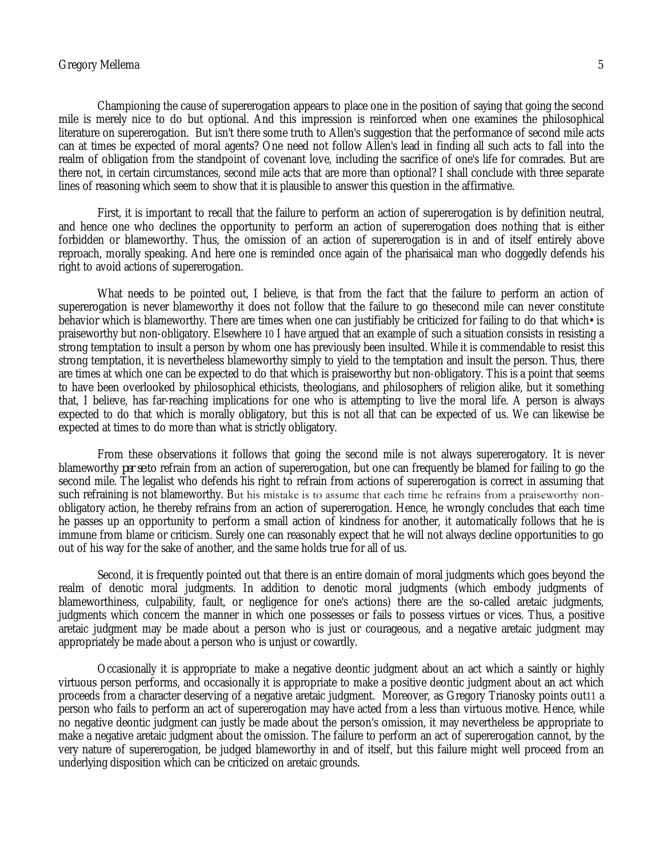#### Gregory Mellema 5

Championing the cause of supererogation appears to place one in the position of saying that going the second mile is merely nice to do but optional. And this impression is reinforced when one examines the philosophical literature on supererogation. But isn't there some truth to Allen's suggestion that the performance of second mile acts can at times be expected of moral agents? One need not follow Allen's lead in finding all such acts to fall into the realm of obligation from the standpoint of covenant love, including the sacrifice of one's life for comrades. But are there not, in certain circumstances, second mile acts that are more than optional? I shall conclude with three separate lines of reasoning which seem to show that it is plausible to answer this question in the affirmative.

First, it is important to recall that the failure to perform an action of supererogation is by definition neutral, and hence one who declines the opportunity to perform an action of supererogation does nothing that is either forbidden or blameworthy. Thus, the omission of an action of supererogation is in and of itself entirely above reproach, morally speaking. And here one is reminded once again of the pharisaical man who doggedly defends his right to avoid actions of supererogation.

What needs to be pointed out, I believe, is that from the fact that the failure to perform an action of supererogation is never blameworthy it does not follow that the failure to go thesecond mile can never constitute behavior which is blameworthy. There are times when one can justifiably be criticized for failing to do that which• is praiseworthy but non-obligatory. Elsewhere 10 I have argued that an example of such a situation consists in resisting a strong temptation to insult a person by whom one has previously been insulted. While it is commendable to resist this strong temptation, it is nevertheless blameworthy simply to yield to the temptation and insult the person. Thus, there are times at which one can be expected to do that which is praiseworthy but non-obligatory. This is a point that seems to have been overlooked by philosophical ethicists, theologians, and philosophers of religion alike, but it something that, I believe, has far-reaching implications for one who is attempting to live the moral life. A person is always expected to do that which is morally obligatory, but this is not all that can be expected of us. We can likewise be expected at times to do more than what is strictly obligatory.

From these observations it follows that going the second mile is not always supererogatory. It is never blameworthy *per se* to refrain from an action of supererogation, but one can frequently be blamed for failing to go the second mile. The legalist who defends his right to refrain from actions of supererogation is correct in assuming that such refraining is not blameworthy. But his mistake is to assume that each time he refrains from a praiseworthy nonobligatory action, he thereby refrains from an action of supererogation. Hence, he wrongly concludes that each time he passes up an opportunity to perform a small action of kindness for another, it automatically follows that he is immune from blame or criticism. Surely one can reasonably expect that he will not always decline opportunities to go out of his way for the sake of another, and the same holds true for all of us.

Second, it is frequently pointed out that there is an entire domain of moral judgments which goes beyond the realm of denotic moral judgments. In addition to denotic moral judgments (which embody judgments of blameworthiness, culpability, fault, or negligence for one's actions) there are the so-called aretaic judgments, judgments which concern the manner in which one possesses or fails to possess virtues or vices. Thus, a positive aretaic judgment may be made about a person who is just or courageous, and a negative aretaic judgment may appropriately be made about a person who is unjust or cowardly.

Occasionally it is appropriate to make a negative deontic judgment about an act which a saintly or highly virtuous person performs, and occasionally it is appropriate to make a positive deontic judgment about an act which proceeds from a character deserving of a negative aretaic judgment. Moreover, as Gregory Trianosky points out11 a person who fails to perform an act of supererogation may have acted from a less than virtuous motive. Hence, while no negative deontic judgment can justly be made about the person's omission, it may nevertheless be appropriate to make a negative aretaic judgment about the omission. The failure to perform an act of supererogation cannot, by the very nature of supererogation, be judged blameworthy in and of itself, but this failure might well proceed from an underlying disposition which can be criticized on aretaic grounds.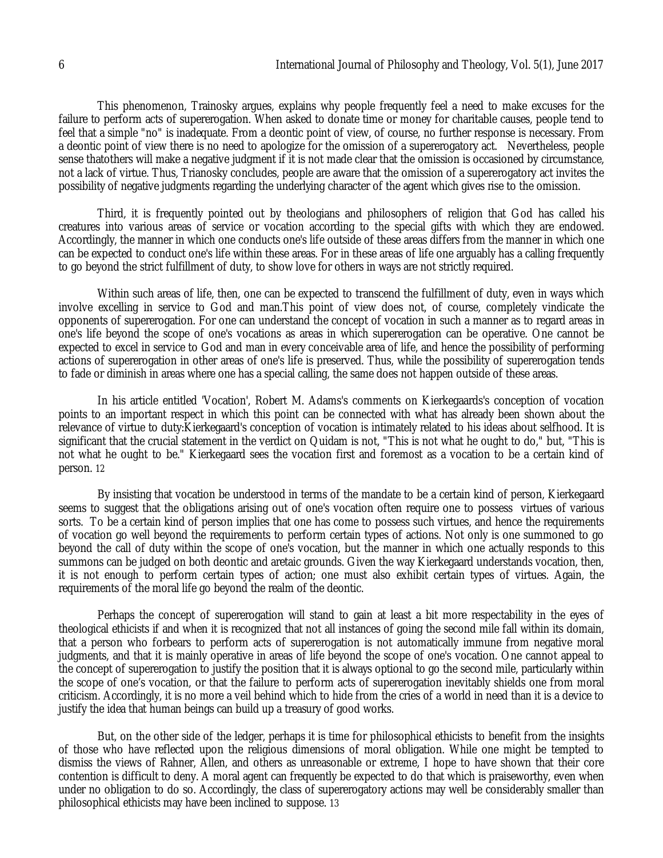This phenomenon, Trainosky argues, explains why people frequently feel a need to make excuses for the failure to perform acts of supererogation. When asked to donate time or money for charitable causes, people tend to feel that a simple "no" is inadequate. From a deontic point of view, of course, no further response is necessary. From a deontic point of view there is no need to apologize for the omission of a supererogatory act. Nevertheless, people sense thatothers will make a negative judgment if it is not made clear that the omission is occasioned by circumstance, not a lack of virtue. Thus, Trianosky concludes, people are aware that the omission of a supererogatory act invites the possibility of negative judgments regarding the underlying character of the agent which gives rise to the omission.

Third, it is frequently pointed out by theologians and philosophers of religion that God has called his creatures into various areas of service or vocation according to the special gifts with which they are endowed. Accordingly, the manner in which one conducts one's life outside of these areas differs from the manner in which one can be expected to conduct one's life within these areas. For in these areas of life one arguably has a calling frequently to go beyond the strict fulfillment of duty, to show love for others in ways are not strictly required.

Within such areas of life, then, one can be expected to transcend the fulfillment of duty, even in ways which involve excelling in service to God and man.This point of view does not, of course, completely vindicate the opponents of supererogation. For one can understand the concept of vocation in such a manner as to regard areas in one's life beyond the scope of one's vocations as areas in which supererogation can be operative. One cannot be expected to excel in service to God and man in every conceivable area of life, and hence the possibility of performing actions of supererogation in other areas of one's life is preserved. Thus, while the possibility of supererogation tends to fade or diminish in areas where one has a special calling, the same does not happen outside of these areas.

In his article entitled 'Vocation', Robert M. Adams's comments on Kierkegaards's conception of vocation points to an important respect in which this point can be connected with what has already been shown about the relevance of virtue to duty:Kierkegaard's conception of vocation is intimately related to his ideas about selfhood. It is significant that the crucial statement in the verdict on Quidam is not, "This is not what he ought to do," but, "This is not what he ought to be." Kierkegaard sees the vocation first and foremost as a vocation to be a certain kind of person. 12

By insisting that vocation be understood in terms of the mandate to be a certain kind of person, Kierkegaard seems to suggest that the obligations arising out of one's vocation often require one to possess virtues of various sorts. To be a certain kind of person implies that one has come to possess such virtues, and hence the requirements of vocation go well beyond the requirements to perform certain types of actions. Not only is one summoned to go beyond the call of duty within the scope of one's vocation, but the manner in which one actually responds to this summons can be judged on both deontic and aretaic grounds. Given the way Kierkegaard understands vocation, then, it is not enough to perform certain types of action; one must also exhibit certain types of virtues. Again, the requirements of the moral life go beyond the realm of the deontic.

Perhaps the concept of supererogation will stand to gain at least a bit more respectability in the eyes of theological ethicists if and when it is recognized that not all instances of going the second mile fall within its domain, that a person who forbears to perform acts of supererogation is not automatically immune from negative moral judgments, and that it is mainly operative in areas of life beyond the scope of one's vocation. One cannot appeal to the concept of supererogation to justify the position that it is always optional to go the second mile, particularly within the scope of one's vocation, or that the failure to perform acts of supererogation inevitably shields one from moral criticism. Accordingly, it is no more a veil behind which to hide from the cries of a world in need than it is a device to justify the idea that human beings can build up a treasury of good works.

But, on the other side of the ledger, perhaps it is time for philosophical ethicists to benefit from the insights of those who have reflected upon the religious dimensions of moral obligation. While one might be tempted to dismiss the views of Rahner, Allen, and others as unreasonable or extreme, I hope to have shown that their core contention is difficult to deny. A moral agent can frequently be expected to do that which is praiseworthy, even when under no obligation to do so. Accordingly, the class of supererogatory actions may well be considerably smaller than philosophical ethicists may have been inclined to suppose. 13